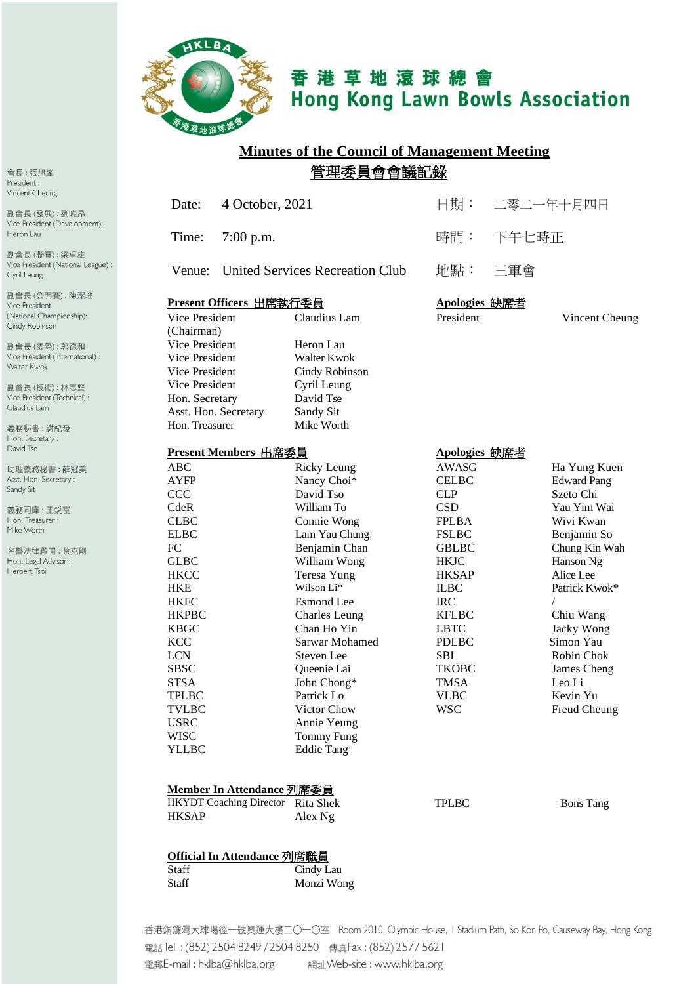

Staff

# 香港草地滾球總會 **Hong Kong Lawn Bowls Association**

# **Minutes of the Council of Management Meeting** 管理委員會會議記錄

|                                     |                                   | 4 October, 2021                        | 日期:           | 二零二一年十月四日          |
|-------------------------------------|-----------------------------------|----------------------------------------|---------------|--------------------|
| Time:                               | $7:00$ p.m.                       |                                        | 時間:           | 下午七時正              |
| Venue:                              |                                   | <b>United Services Recreation Club</b> | 地點:           | 三軍會                |
|                                     | Present Officers 出席執行委員           |                                        | Apologies 缺席者 |                    |
| <b>Vice President</b><br>(Chairman) |                                   | Claudius Lam                           | President     | Vincent Cheung     |
| Vice President                      |                                   | Heron Lau                              |               |                    |
| Vice President                      |                                   | Walter Kwok                            |               |                    |
| Vice President                      |                                   | Cindy Robinson                         |               |                    |
| Vice President                      |                                   | Cyril Leung                            |               |                    |
| Hon. Secretary                      |                                   | David Tse                              |               |                    |
| Asst. Hon. Secretary                |                                   | Sandy Sit                              |               |                    |
| Hon. Treasurer                      |                                   | Mike Worth                             |               |                    |
|                                     | Present Members 出席委員              |                                        | Apologies 缺席者 |                    |
| <b>ABC</b>                          |                                   | <b>Ricky Leung</b>                     | AWASG         | Ha Yung Kuen       |
| <b>AYFP</b>                         |                                   | Nancy Choi*                            | <b>CELBC</b>  | <b>Edward Pang</b> |
| <b>CCC</b>                          |                                   | David Tso                              | <b>CLP</b>    | Szeto Chi          |
| CdeR                                |                                   | William To                             | <b>CSD</b>    | Yau Yim Wai        |
| <b>CLBC</b>                         |                                   | Connie Wong                            | <b>FPLBA</b>  | Wivi Kwan          |
| <b>ELBC</b>                         |                                   | Lam Yau Chung                          | <b>FSLBC</b>  | Benjamin So        |
| <b>FC</b>                           |                                   | Benjamin Chan                          | <b>GBLBC</b>  | Chung Kin Wah      |
| <b>GLBC</b>                         |                                   | William Wong                           | <b>HKJC</b>   | Hanson Ng          |
| <b>HKCC</b>                         |                                   | Teresa Yung                            | <b>HKSAP</b>  | Alice Lee          |
| <b>HKE</b>                          |                                   | Wilson Li*                             | <b>ILBC</b>   | Patrick Kwok*      |
| <b>HKFC</b>                         |                                   | <b>Esmond</b> Lee                      | <b>IRC</b>    | $\sqrt{2}$         |
| <b>HKPBC</b>                        |                                   | <b>Charles</b> Leung                   | <b>KFLBC</b>  | Chiu Wang          |
| <b>KBGC</b>                         |                                   | Chan Ho Yin                            | <b>LBTC</b>   | Jacky Wong         |
| <b>KCC</b>                          |                                   | Sarwar Mohamed                         | <b>PDLBC</b>  | Simon Yau          |
| <b>LCN</b>                          |                                   | Steven Lee                             | SBI           | Robin Chok         |
| <b>SBSC</b>                         |                                   | Queenie Lai                            | <b>TKOBC</b>  | James Cheng        |
| <b>STSA</b>                         |                                   | John Chong*                            | <b>TMSA</b>   | Leo Li             |
| <b>TPLBC</b>                        |                                   | Patrick Lo                             | <b>VLBC</b>   | Kevin Yu           |
| <b>TVLBC</b>                        |                                   | Victor Chow                            | <b>WSC</b>    | Freud Cheung       |
| USRC                                |                                   | Annie Yeung                            |               |                    |
| <b>WISC</b>                         |                                   | <b>Tommy Fung</b>                      |               |                    |
| <b>YLLBC</b>                        |                                   | <b>Eddie Tang</b>                      |               |                    |
|                                     |                                   |                                        |               |                    |
|                                     | Member In Attendance 列席委員         |                                        |               |                    |
|                                     | HKYDT Coaching Director Rita Shek |                                        | <b>TPLBC</b>  | <b>Bons</b> Tang   |
| <b>HKSAP</b>                        |                                   | Alex Ng                                |               |                    |

會長:張旭峯 President : Vincent Cheung

副會長(發展):劉曉昂 Vice President (Development) : Heron Lau

副會長 (聯賽): 梁卓雄 Vice President (National League) : Cyril Leung

副會長(公開賽):陳潔瑤 Vice President (National Championship): Cindy Robinson

副會長 (國際): 郭德和 Vice President (International) : Walter Kwok

副會長(技術):林志堅 Vice President (Technical) : Claudius Lam

義務秘書:謝紀發 Hon. Secretary: David Tse

助理義務秘書:薛冠美 Asst. Hon. Secretary : Sandy Sit

義務司庫:王鋭富 Hon. Treasurer : Mike Worth

名譽法律顧問:蔡克剛 Hon. Legal Advisor : Herbert Tsoi

|                                                             | 香港銅鑼灣大球場徑一號奧運大樓二〇一〇室 Room 2010, Olympic House, I Stadium Path, So Kon Po, Causeway Bay, Hong Kong |
|-------------------------------------------------------------|---------------------------------------------------------------------------------------------------|
| 電話Tel : (852) 2504 8249 / 2504 8250 傳真Fax : (852) 2577 5621 |                                                                                                   |
| 電郵E-mail : hklba@hklba.org                                  | 網址Web-site : www.hklba.org                                                                        |

Monzi Wong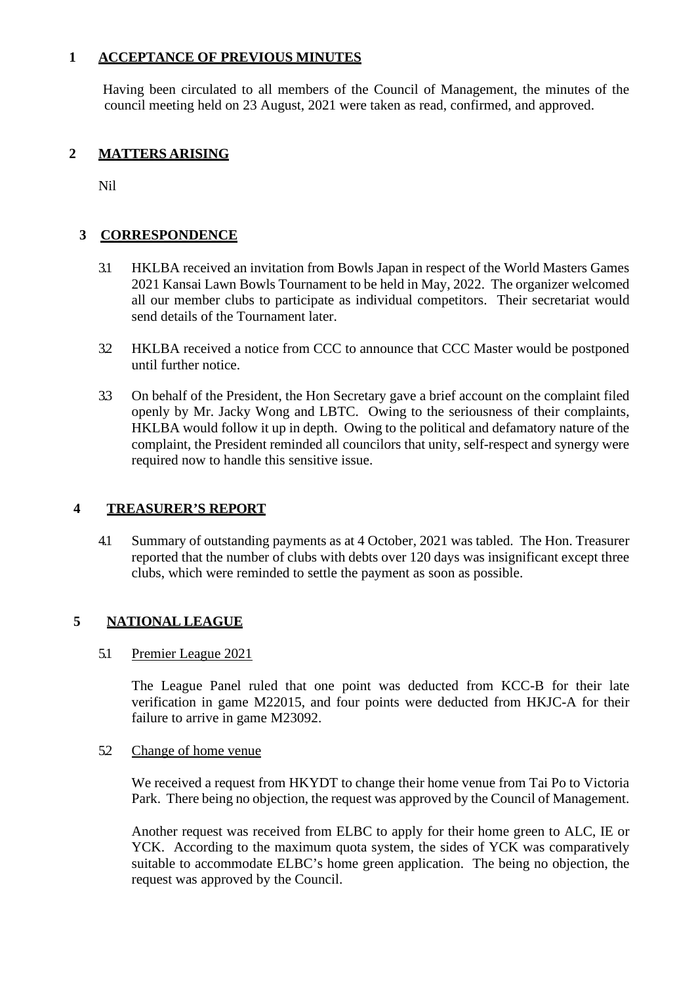## **1 ACCEPTANCE OF PREVIOUS MINUTES**

Having been circulated to all members of the Council of Management, the minutes of the council meeting held on 23 August, 2021 were taken as read, confirmed, and approved.

# **2 MATTERS ARISING**

Nil

# **3 CORRESPONDENCE**

- 3.1 HKLBA received an invitation from Bowls Japan in respect of the World Masters Games 2021 Kansai Lawn Bowls Tournament to be held in May, 2022. The organizer welcomed all our member clubs to participate as individual competitors. Their secretariat would send details of the Tournament later.
- 3.2 HKLBA received a notice from CCC to announce that CCC Master would be postponed until further notice.
- 3.3 On behalf of the President, the Hon Secretary gave a brief account on the complaint filed openly by Mr. Jacky Wong and LBTC. Owing to the seriousness of their complaints, HKLBA would follow it up in depth. Owing to the political and defamatory nature of the complaint, the President reminded all councilors that unity, self-respect and synergy were required now to handle this sensitive issue.

## **4 TREASURER'S REPORT**

4.1 Summary of outstanding payments as at 4 October, 2021 was tabled. The Hon. Treasurer reported that the number of clubs with debts over 120 days was insignificant except three clubs, which were reminded to settle the payment as soon as possible.

## **5 NATIONAL LEAGUE**

## 5.1 Premier League 2021

The League Panel ruled that one point was deducted from KCC-B for their late verification in game M22015, and four points were deducted from HKJC-A for their failure to arrive in game M23092.

#### 5.2 Change of home venue

We received a request from HKYDT to change their home venue from Tai Po to Victoria Park. There being no objection, the request was approved by the Council of Management.

Another request was received from ELBC to apply for their home green to ALC, IE or YCK. According to the maximum quota system, the sides of YCK was comparatively suitable to accommodate ELBC's home green application. The being no objection, the request was approved by the Council.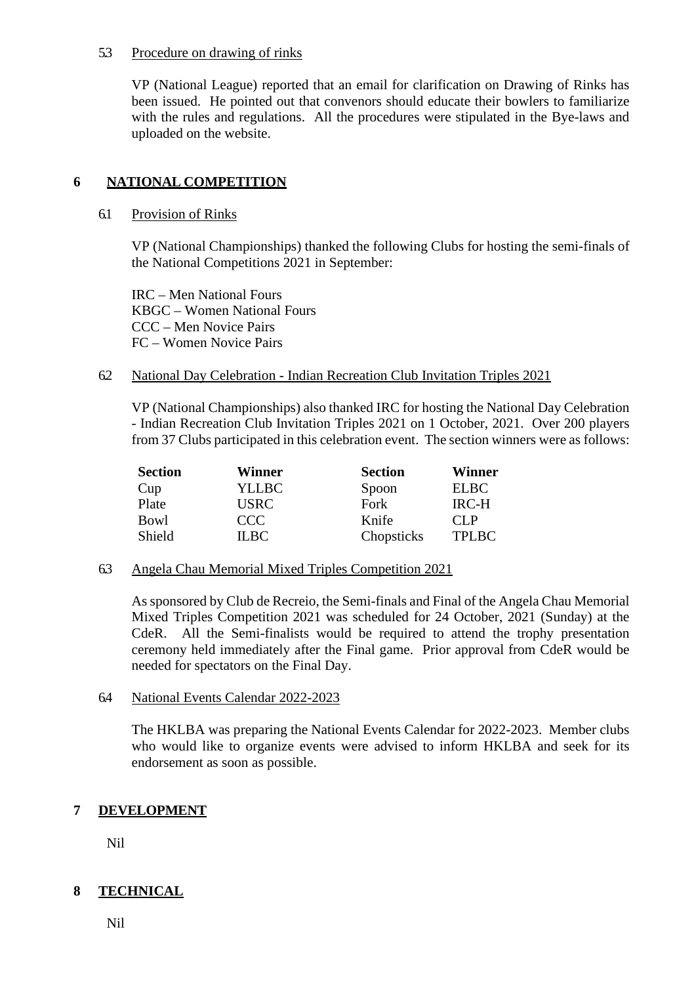#### 5.3 Procedure on drawing of rinks

VP (National League) reported that an email for clarification on Drawing of Rinks has been issued. He pointed out that convenors should educate their bowlers to familiarize with the rules and regulations. All the procedures were stipulated in the Bye-laws and uploaded on the website.

# **6 NATIONAL COMPETITION**

#### 6.1 Provision of Rinks

VP (National Championships) thanked the following Clubs for hosting the semi-finals of the National Competitions 2021 in September:

IRC – Men National Fours KBGC – Women National Fours CCC – Men Novice Pairs FC – Women Novice Pairs

#### 6.2 National Day Celebration - Indian Recreation Club Invitation Triples 2021

VP (National Championships) also thanked IRC for hosting the National Day Celebration - Indian Recreation Club Invitation Triples 2021 on 1 October, 2021. Over 200 players from 37 Clubs participated in this celebration event. The section winners were as follows:

| <b>Section</b> | Winner       | <b>Section</b> | Winner       |
|----------------|--------------|----------------|--------------|
| Cup            | <b>YLLBC</b> | Spoon          | <b>ELBC</b>  |
| Plate          | <b>USRC</b>  | Fork           | <b>IRC-H</b> |
| Bowl           | CCC.         | Knife          | $CI$ $P$     |
| Shield         | IL BC        | Chopsticks     | <b>TPLBC</b> |

6.3 Angela Chau Memorial Mixed Triples Competition 2021

As sponsored by Club de Recreio, the Semi-finals and Final of the Angela Chau Memorial Mixed Triples Competition 2021 was scheduled for 24 October, 2021 (Sunday) at the CdeR. All the Semi-finalists would be required to attend the trophy presentation ceremony held immediately after the Final game. Prior approval from CdeR would be needed for spectators on the Final Day.

#### 6.4 National Events Calendar 2022-2023

The HKLBA was preparing the National Events Calendar for 2022-2023. Member clubs who would like to organize events were advised to inform HKLBA and seek for its endorsement as soon as possible.

# **7 DEVELOPMENT**

Nil

# **8 TECHNICAL**

Nil